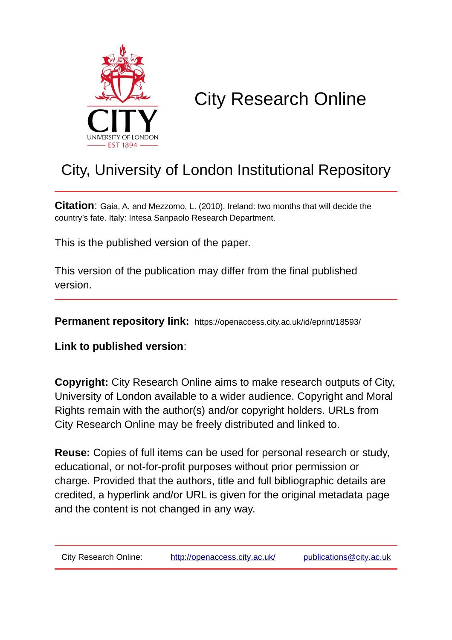

# City Research Online

## City, University of London Institutional Repository

**Citation**: Gaia, A. and Mezzomo, L. (2010). Ireland: two months that will decide the country's fate. Italy: Intesa Sanpaolo Research Department.

This is the published version of the paper.

This version of the publication may differ from the final published version.

**Permanent repository link:** https://openaccess.city.ac.uk/id/eprint/18593/

**Link to published version**:

**Copyright:** City Research Online aims to make research outputs of City, University of London available to a wider audience. Copyright and Moral Rights remain with the author(s) and/or copyright holders. URLs from City Research Online may be freely distributed and linked to.

**Reuse:** Copies of full items can be used for personal research or study, educational, or not-for-profit purposes without prior permission or charge. Provided that the authors, title and full bibliographic details are credited, a hyperlink and/or URL is given for the original metadata page and the content is not changed in any way.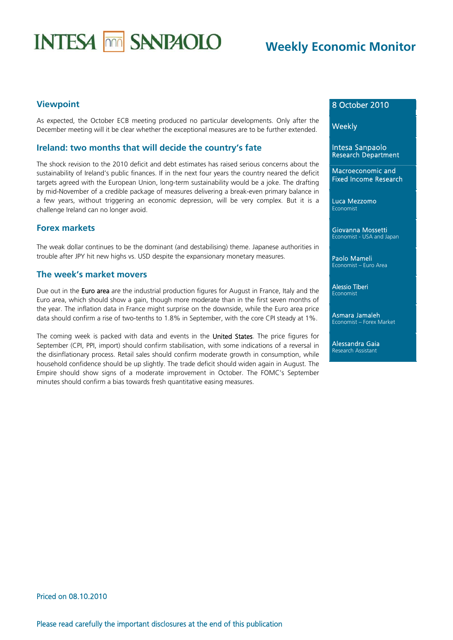# **INTESA MM SANPAOLO**

## **Weekly Economic Monitor**

### **Viewpoint**

As expected, the October ECB meeting produced no particular developments. Only after the December meeting will it be clear whether the exceptional measures are to be further extended.

#### **Ireland: two months that will decide the country's fate**

The shock revision to the 2010 deficit and debt estimates has raised serious concerns about the sustainability of Ireland's public finances. If in the next four years the country neared the deficit targets agreed with the European Union, long-term sustainability would be a joke. The drafting by mid-November of a credible package of measures delivering a break-even primary balance in a few years, without triggering an economic depression, will be very complex. But it is a challenge Ireland can no longer avoid.

#### **Forex markets**

The weak dollar continues to be the dominant (and destabilising) theme. Japanese authorities in trouble after JPY hit new highs vs. USD despite the expansionary monetary measures.

#### **The week's market movers**

Due out in the Euro area are the industrial production figures for August in France, Italy and the Euro area, which should show a gain, though more moderate than in the first seven months of the year. The inflation data in France might surprise on the downside, while the Euro area price data should confirm a rise of two-tenths to 1.8% in September, with the core CPI steady at 1%.

The coming week is packed with data and events in the United States. The price figures for September (CPI, PPI, import) should confirm stabilisation, with some indications of a reversal in the disinflationary process. Retail sales should confirm moderate growth in consumption, while household confidence should be up slightly. The trade deficit should widen again in August. The Empire should show signs of a moderate improvement in October. The FOMC's September minutes should confirm a bias towards fresh quantitative easing measures.

### 8 October 2010

**Weekly** 

Intesa Sanpaolo Research Department

Macroeconomic and Fixed Income Research

Luca Mezzomo Economist

Giovanna Mossetti Economist - USA and Japan

Paolo Mameli Economist – Euro Area

Alessio Tiberi Economist

Asmara Jamaleh Economist – Forex Market

Alessandra Gaia Research Assistant

## Priced on 08.10.2010

Please read carefully the important disclosures at the end of this publication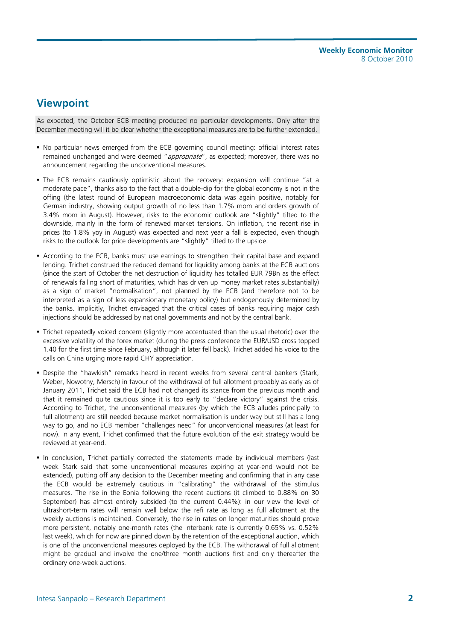## **Viewpoint**

As expected, the October ECB meeting produced no particular developments. Only after the December meeting will it be clear whether the exceptional measures are to be further extended.

- No particular news emerged from the ECB governing council meeting: official interest rates remained unchanged and were deemed "appropriate", as expected; moreover, there was no announcement regarding the unconventional measures.
- The ECB remains cautiously optimistic about the recovery: expansion will continue "at a moderate pace", thanks also to the fact that a double-dip for the global economy is not in the offing (the latest round of European macroeconomic data was again positive, notably for German industry, showing output growth of no less than 1.7% mom and orders growth of 3.4% mom in August). However, risks to the economic outlook are "slightly" tilted to the downside, mainly in the form of renewed market tensions. On inflation, the recent rise in prices (to 1.8% yoy in August) was expected and next year a fall is expected, even though risks to the outlook for price developments are "slightly" tilted to the upside.
- According to the ECB, banks must use earnings to strengthen their capital base and expand lending. Trichet construed the reduced demand for liquidity among banks at the ECB auctions (since the start of October the net destruction of liquidity has totalled EUR 79Bn as the effect of renewals falling short of maturities, which has driven up money market rates substantially) as a sign of market "normalisation", not planned by the ECB (and therefore not to be interpreted as a sign of less expansionary monetary policy) but endogenously determined by the banks. Implicitly, Trichet envisaged that the critical cases of banks requiring major cash injections should be addressed by national governments and not by the central bank.
- Trichet repeatedly voiced concern (slightly more accentuated than the usual rhetoric) over the excessive volatility of the forex market (during the press conference the EUR/USD cross topped 1.40 for the first time since February, although it later fell back). Trichet added his voice to the calls on China urging more rapid CHY appreciation.
- Despite the "hawkish" remarks heard in recent weeks from several central bankers (Stark, Weber, Nowotny, Mersch) in favour of the withdrawal of full allotment probably as early as of January 2011, Trichet said the ECB had not changed its stance from the previous month and that it remained quite cautious since it is too early to "declare victory" against the crisis. According to Trichet, the unconventional measures (by which the ECB alludes principally to full allotment) are still needed because market normalisation is under way but still has a long way to go, and no ECB member "challenges need" for unconventional measures (at least for now). In any event, Trichet confirmed that the future evolution of the exit strategy would be reviewed at year-end.
- In conclusion, Trichet partially corrected the statements made by individual members (last week Stark said that some unconventional measures expiring at year-end would not be extended), putting off any decision to the December meeting and confirming that in any case the ECB would be extremely cautious in "calibrating" the withdrawal of the stimulus measures. The rise in the Eonia following the recent auctions (it climbed to 0.88% on 30 September) has almost entirely subsided (to the current 0.44%): in our view the level of ultrashort-term rates will remain well below the refi rate as long as full allotment at the weekly auctions is maintained. Conversely, the rise in rates on longer maturities should prove more persistent, notably one-month rates (the interbank rate is currently 0.65% vs. 0.52% last week), which for now are pinned down by the retention of the exceptional auction, which is one of the unconventional measures deployed by the ECB. The withdrawal of full allotment might be gradual and involve the one/three month auctions first and only thereafter the ordinary one-week auctions.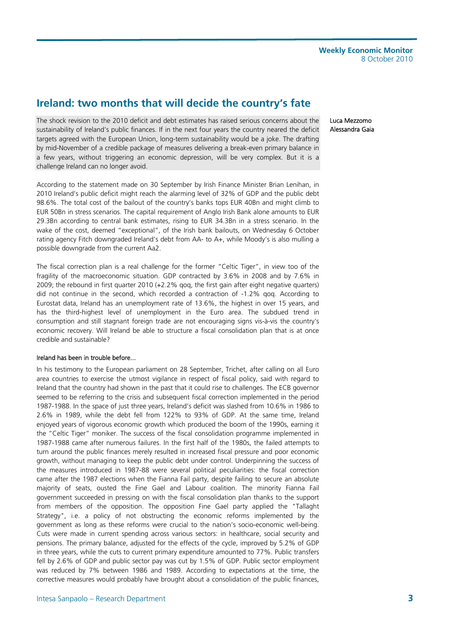## **Ireland: two months that will decide the country's fate**

The shock revision to the 2010 deficit and debt estimates has raised serious concerns about the sustainability of Ireland's public finances. If in the next four years the country neared the deficit targets agreed with the European Union, long-term sustainability would be a joke. The drafting by mid-November of a credible package of measures delivering a break-even primary balance in a few years, without triggering an economic depression, will be very complex. But it is a challenge Ireland can no longer avoid.

According to the statement made on 30 September by Irish Finance Minister Brian Lenihan, in 2010 Ireland's public deficit might reach the alarming level of 32% of GDP and the public debt 98.6%. The total cost of the bailout of the country's banks tops EUR 40Bn and might climb to EUR 50Bn in stress scenarios. The capital requirement of Anglo Irish Bank alone amounts to EUR 29.3Bn according to central bank estimates, rising to EUR 34.3Bn in a stress scenario. In the wake of the cost, deemed "exceptional", of the Irish bank bailouts, on Wednesday 6 October rating agency Fitch downgraded Ireland's debt from AA- to A+, while Moody's is also mulling a possible downgrade from the current Aa2.

The fiscal correction plan is a real challenge for the former "Celtic Tiger", in view too of the fragility of the macroeconomic situation. GDP contracted by 3.6% in 2008 and by 7.6% in 2009; the rebound in first quarter 2010 (+2.2% qoq, the first gain after eight negative quarters) did not continue in the second, which recorded a contraction of -1.2% qoq. According to Eurostat data, Ireland has an unemployment rate of 13.6%, the highest in over 15 years, and has the third-highest level of unemployment in the Euro area. The subdued trend in consumption and still stagnant foreign trade are not encouraging signs vis-à-vis the country's economic recovery. Will Ireland be able to structure a fiscal consolidation plan that is at once credible and sustainable?

#### Ireland has been in trouble before...

In his testimony to the European parliament on 28 September, Trichet, after calling on all Euro area countries to exercise the utmost vigilance in respect of fiscal policy, said with regard to Ireland that the country had shown in the past that it could rise to challenges. The ECB governor seemed to be referring to the crisis and subsequent fiscal correction implemented in the period 1987-1988. In the space of just three years, Ireland's deficit was slashed from 10.6% in 1986 to 2.6% in 1989, while the debt fell from 122% to 93% of GDP. At the same time, Ireland enjoyed years of vigorous economic growth which produced the boom of the 1990s, earning it the "Celtic Tiger" moniker. The success of the fiscal consolidation programme implemented in 1987-1988 came after numerous failures. In the first half of the 1980s, the failed attempts to turn around the public finances merely resulted in increased fiscal pressure and poor economic growth, without managing to keep the public debt under control. Underpinning the success of the measures introduced in 1987-88 were several political peculiarities: the fiscal correction came after the 1987 elections when the Fianna Fail party, despite failing to secure an absolute majority of seats, ousted the Fine Gael and Labour coalition. The minority Fianna Fail government succeeded in pressing on with the fiscal consolidation plan thanks to the support from members of the opposition. The opposition Fine Gael party applied the "Tallaght Strategy", i.e. a policy of not obstructing the economic reforms implemented by the government as long as these reforms were crucial to the nation's socio-economic well-being. Cuts were made in current spending across various sectors: in healthcare, social security and pensions. The primary balance, adjusted for the effects of the cycle, improved by 5.2% of GDP in three years, while the cuts to current primary expenditure amounted to 77%. Public transfers fell by 2.6% of GDP and public sector pay was cut by 1.5% of GDP. Public sector employment was reduced by 7% between 1986 and 1989. According to expectations at the time, the corrective measures would probably have brought about a consolidation of the public finances, Luca Mezzomo Alessandra Gaia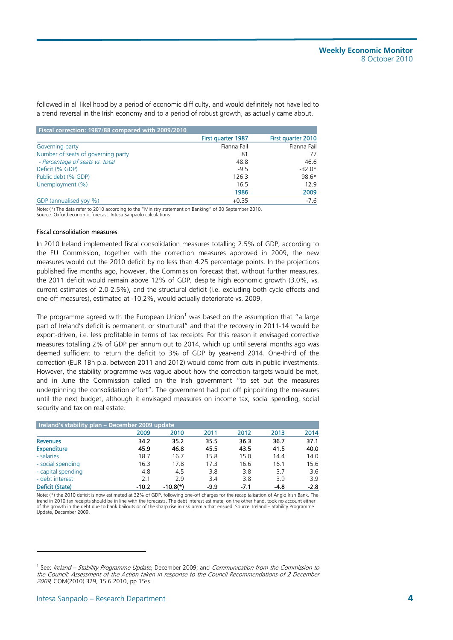followed in all likelihood by a period of economic difficulty, and would definitely not have led to a trend reversal in the Irish economy and to a period of robust growth, as actually came about.

| Fiscal correction: 1987/88 compared with 2009/2010 |                    |                    |
|----------------------------------------------------|--------------------|--------------------|
|                                                    | First quarter 1987 | First quarter 2010 |
| Governing party                                    | Fianna Fail        | Fianna Fail        |
| Number of seats of governing party                 | 81                 | 77                 |
| - Percentage of seats vs. total                    | 48.8               | 46.6               |
| Deficit (% GDP)                                    | $-9.5$             | $-32.0*$           |
| Public debt (% GDP)                                | 126.3              | 98.6*              |
| Unemployment (%)                                   | 16.5               | 12.9               |
|                                                    | 1986               | 2009               |
| GDP (annualised yoy %)                             | $+0.35$            | $-7.6$             |

Note: (\*) The data refer to 2010 according to the "Ministry statement on Banking" of 30 September 2010. Source: Oxford economic forecast. Intesa Sanpaolo calculations

#### Fiscal consolidation measures

In 2010 Ireland implemented fiscal consolidation measures totalling 2.5% of GDP; according to the EU Commission, together with the correction measures approved in 2009, the new measures would cut the 2010 deficit by no less than 4.25 percentage points. In the projections published five months ago, however, the Commission forecast that, without further measures, the 2011 deficit would remain above 12% of GDP, despite high economic growth (3.0%, vs. current estimates of 2.0-2.5%), and the structural deficit (i.e. excluding both cycle effects and one-off measures), estimated at -10.2%, would actually deteriorate vs. 2009.

The programme agreed with the European Union<sup>1</sup> was based on the assumption that "a large part of Ireland's deficit is permanent, or structural" and that the recovery in 2011-14 would be export-driven, i.e. less profitable in terms of tax receipts. For this reason it envisaged corrective measures totalling 2% of GDP per annum out to 2014, which up until several months ago was deemed sufficient to return the deficit to 3% of GDP by year-end 2014. One-third of the correction (EUR 1Bn p.a. between 2011 and 2012) would come from cuts in public investments. However, the stability programme was vague about how the correction targets would be met, and in June the Commission called on the Irish government "to set out the measures underpinning the consolidation effort". The government had put off pinpointing the measures until the next budget, although it envisaged measures on income tax, social spending, social security and tax on real estate.

| Ireland's stability plan - December 2009 update |         |            |      |      |        |        |  |  |  |  |  |  |
|-------------------------------------------------|---------|------------|------|------|--------|--------|--|--|--|--|--|--|
|                                                 | 2009    | 2010       | 2011 | 2012 | 2013   | 2014   |  |  |  |  |  |  |
| <b>Revenues</b>                                 | 34.2    | 35.2       | 35.5 | 36.3 | 36.7   | 37.1   |  |  |  |  |  |  |
| Expenditure                                     | 45.9    | 46.8       | 45.5 | 43.5 | 41.5   | 40.0   |  |  |  |  |  |  |
| - salaries                                      | 18.7    | 16.7       | 15.8 | 15.0 | 14.4   | 14.0   |  |  |  |  |  |  |
| - social spending                               | 16.3    | 17.8       | 17.3 | 16.6 | 16.1   | 15.6   |  |  |  |  |  |  |
| - capital spending                              | 4.8     | 4.5        | 3.8  | 3.8  | 3.7    | 3.6    |  |  |  |  |  |  |
| - debt interest                                 | 2.1     | 29         | 3.4  | 3.8  | 3.9    | 3.9    |  |  |  |  |  |  |
| Deficit (State)                                 | $-10.2$ | $-10.8(*)$ | -9.9 | -7.1 | $-4.8$ | $-2.8$ |  |  |  |  |  |  |

Note: (\*) the 2010 deficit is now estimated at 32% of GDP, following one-off charges for the recapitalisation of Anglo Irish Bank. The trend in 2010 tax receipts should be in line with the forecasts. The debt interest estimate, on the other hand, took no account either of the growth in the debt due to bank bailouts or of the sharp rise in risk premia that ensued. Source: Ireland – Stability Programme Update, December 2009.

-

<sup>&</sup>lt;sup>1</sup> See: Ireland – Stability Programme Update, December 2009; and Communication from the Commission to the Council: Assessment of the Action taken in response to the Council Recommendations of 2 December 2009, COM(2010) 329, 15.6.2010, pp 15ss.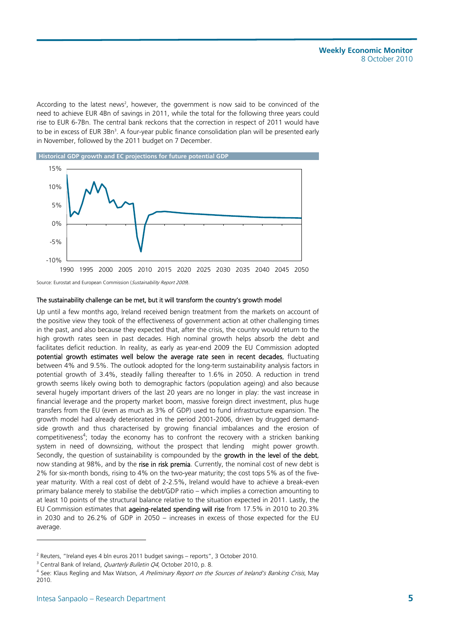According to the latest news<sup>2</sup>, however, the government is now said to be convinced of the need to achieve EUR 4Bn of savings in 2011, while the total for the following three years could rise to EUR 6-7Bn. The central bank reckons that the correction in respect of 2011 would have to be in excess of EUR 3Bn<sup>3</sup>. A four-year public finance consolidation plan will be presented early in November, followed by the 2011 budget on 7 December.



Source: Eurostat and European Commission (Sustainability Report 2009).

#### The sustainability challenge can be met, but it will transform the country's growth model

Up until a few months ago, Ireland received benign treatment from the markets on account of the positive view they took of the effectiveness of government action at other challenging times in the past, and also because they expected that, after the crisis, the country would return to the high growth rates seen in past decades. High nominal growth helps absorb the debt and facilitates deficit reduction. In reality, as early as year-end 2009 the EU Commission adopted potential growth estimates well below the average rate seen in recent decades, fluctuating between 4% and 9.5%. The outlook adopted for the long-term sustainability analysis factors in potential growth of 3.4%, steadily falling thereafter to 1.6% in 2050. A reduction in trend growth seems likely owing both to demographic factors (population ageing) and also because several hugely important drivers of the last 20 years are no longer in play: the vast increase in financial leverage and the property market boom, massive foreign direct investment, plus huge transfers from the EU (even as much as 3% of GDP) used to fund infrastructure expansion. The growth model had already deteriorated in the period 2001-2006, driven by drugged demandside growth and thus characterised by growing financial imbalances and the erosion of competitiveness<sup>4</sup>; today the economy has to confront the recovery with a stricken banking system in need of downsizing, without the prospect that lending might power growth. Secondly, the question of sustainability is compounded by the growth in the level of the debt, now standing at 98%, and by the rise in risk premia. Currently, the nominal cost of new debt is 2% for six-month bonds, rising to 4% on the two-year maturity; the cost tops 5% as of the fiveyear maturity. With a real cost of debt of 2-2.5%, Ireland would have to achieve a break-even primary balance merely to stabilise the debt/GDP ratio – which implies a correction amounting to at least 10 points of the structural balance relative to the situation expected in 2011. Lastly, the EU Commission estimates that ageing-related spending will rise from 17.5% in 2010 to 20.3% in 2030 and to 26.2% of GDP in 2050 – increases in excess of those expected for the EU average.

l

<sup>&</sup>lt;sup>2</sup> Reuters, "Ireland eyes 4 bln euros 2011 budget savings – reports", 3 October 2010.<br><sup>3</sup> Central Bank of Ireland, *Quarterly Bulletin OA* October 2010, p. 8.

 $3$  Central Bank of Ireland, *Quarterly Bulletin Q4*, October 2010, p. 8.

<sup>&</sup>lt;sup>4</sup> See: Klaus Regling and Max Watson, A Preliminary Report on the Sources of Ireland's Banking Crisis, May 2010.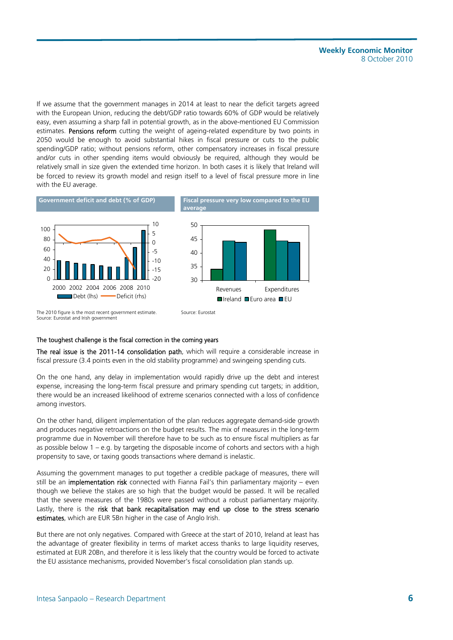If we assume that the government manages in 2014 at least to near the deficit targets agreed with the European Union, reducing the debt/GDP ratio towards 60% of GDP would be relatively easy, even assuming a sharp fall in potential growth, as in the above-mentioned EU Commission estimates. Pensions reform cutting the weight of ageing-related expenditure by two points in 2050 would be enough to avoid substantial hikes in fiscal pressure or cuts to the public spending/GDP ratio; without pensions reform, other compensatory increases in fiscal pressure and/or cuts in other spending items would obviously be required, although they would be relatively small in size given the extended time horizon. In both cases it is likely that Ireland will be forced to review its growth model and resign itself to a level of fiscal pressure more in line with the EU average.



#### The toughest challenge is the fiscal correction in the coming years

The real issue is the 2011-14 consolidation path, which will require a considerable increase in fiscal pressure (3.4 points even in the old stability programme) and swingeing spending cuts.

On the one hand, any delay in implementation would rapidly drive up the debt and interest expense, increasing the long-term fiscal pressure and primary spending cut targets; in addition, there would be an increased likelihood of extreme scenarios connected with a loss of confidence among investors.

On the other hand, diligent implementation of the plan reduces aggregate demand-side growth and produces negative retroactions on the budget results. The mix of measures in the long-term programme due in November will therefore have to be such as to ensure fiscal multipliers as far as possible below  $1 - e.g.$  by targeting the disposable income of cohorts and sectors with a high propensity to save, or taxing goods transactions where demand is inelastic.

Assuming the government manages to put together a credible package of measures, there will still be an implementation risk connected with Fianna Fail's thin parliamentary majority – even though we believe the stakes are so high that the budget would be passed. It will be recalled that the severe measures of the 1980s were passed without a robust parliamentary majority. Lastly, there is the risk that bank recapitalisation may end up close to the stress scenario estimates, which are EUR 5Bn higher in the case of Anglo Irish.

But there are not only negatives. Compared with Greece at the start of 2010, Ireland at least has the advantage of greater flexibility in terms of market access thanks to large liquidity reserves, estimated at EUR 20Bn, and therefore it is less likely that the country would be forced to activate the EU assistance mechanisms, provided November's fiscal consolidation plan stands up.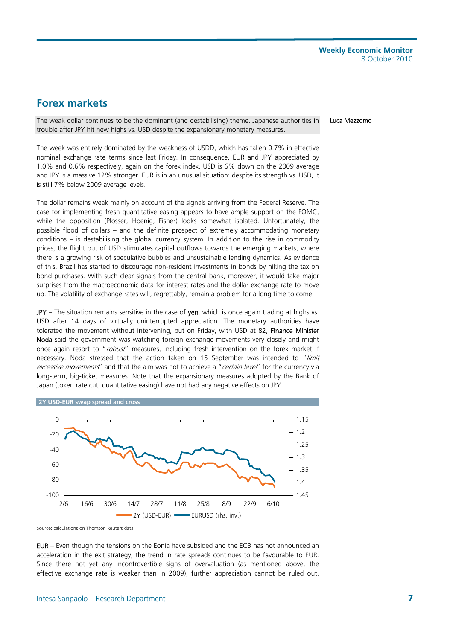## **Forex markets**

The weak dollar continues to be the dominant (and destabilising) theme. Japanese authorities in trouble after JPY hit new highs vs. USD despite the expansionary monetary measures.

Luca Mezzomo

The week was entirely dominated by the weakness of USDD, which has fallen 0.7% in effective nominal exchange rate terms since last Friday. In consequence, EUR and JPY appreciated by 1.0% and 0.6% respectively, again on the forex index. USD is 6% down on the 2009 average and JPY is a massive 12% stronger. EUR is in an unusual situation: despite its strength vs. USD, it is still 7% below 2009 average levels.

The dollar remains weak mainly on account of the signals arriving from the Federal Reserve. The case for implementing fresh quantitative easing appears to have ample support on the FOMC, while the opposition (Plosser, Hoenig, Fisher) looks somewhat isolated. Unfortunately, the possible flood of dollars – and the definite prospect of extremely accommodating monetary conditions – is destabilising the global currency system. In addition to the rise in commodity prices, the flight out of USD stimulates capital outflows towards the emerging markets, where there is a growing risk of speculative bubbles and unsustainable lending dynamics. As evidence of this, Brazil has started to discourage non-resident investments in bonds by hiking the tax on bond purchases. With such clear signals from the central bank, moreover, it would take major surprises from the macroeconomic data for interest rates and the dollar exchange rate to move up. The volatility of exchange rates will, regrettably, remain a problem for a long time to come.

JPY – The situation remains sensitive in the case of yen, which is once again trading at highs vs. USD after 14 days of virtually uninterrupted appreciation. The monetary authorities have tolerated the movement without intervening, but on Friday, with USD at 82, Finance Minister Noda said the government was watching foreign exchange movements very closely and might once again resort to "robust" measures, including fresh intervention on the forex market if necessary. Noda stressed that the action taken on 15 September was intended to "limit excessive movements" and that the aim was not to achieve a "certain level" for the currency via long-term, big-ticket measures. Note that the expansionary measures adopted by the Bank of Japan (token rate cut, quantitative easing) have not had any negative effects on JPY.





Source: calculations on Thomson Reuters data

EUR – Even though the tensions on the Eonia have subsided and the ECB has not announced an acceleration in the exit strategy, the trend in rate spreads continues to be favourable to EUR. Since there not yet any incontrovertible signs of overvaluation (as mentioned above, the effective exchange rate is weaker than in 2009), further appreciation cannot be ruled out.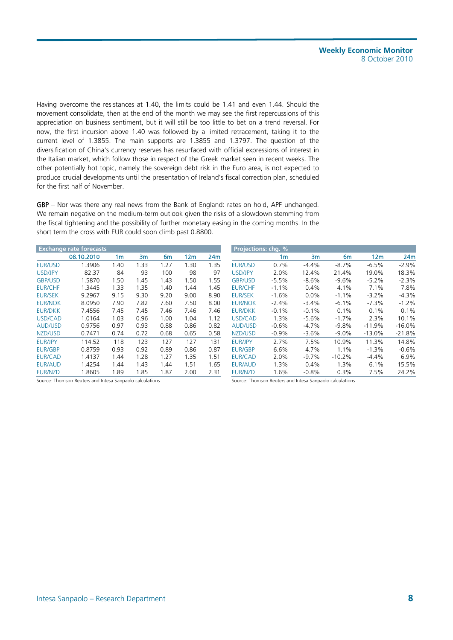Having overcome the resistances at 1.40, the limits could be 1.41 and even 1.44. Should the movement consolidate, then at the end of the month we may see the first repercussions of this appreciation on business sentiment, but it will still be too little to bet on a trend reversal. For now, the first incursion above 1.40 was followed by a limited retracement, taking it to the current level of 1.3855. The main supports are 1.3855 and 1.3797. The question of the diversification of China's currency reserves has resurfaced with official expressions of interest in the Italian market, which follow those in respect of the Greek market seen in recent weeks. The other potentially hot topic, namely the sovereign debt risk in the Euro area, is not expected to produce crucial developments until the presentation of Ireland's fiscal correction plan, scheduled for the first half of November.

GBP – Nor was there any real news from the Bank of England: rates on hold, APF unchanged. We remain negative on the medium-term outlook given the risks of a slowdown stemming from the fiscal tightening and the possibility of further monetary easing in the coming months. In the short term the cross with EUR could soon climb past 0.8800.

|                | <b>Exchange rate forecasts</b> |      |      |      |      |      | <b>Projections: chg. %</b> |         |          |                |          |           |
|----------------|--------------------------------|------|------|------|------|------|----------------------------|---------|----------|----------------|----------|-----------|
|                | 08.10.2010                     | 1m   | 3m   | 6m   | 12m  | 24m  |                            | 1m      | 3m       | 6 <sub>m</sub> | 12m      | 24m       |
| EUR/USD        | 1.3906                         | 1.40 | 1.33 | 1.27 | 1.30 | 1.35 | <b>EUR/USD</b>             | 0.7%    | $-4.4%$  | $-8.7%$        | $-6.5%$  | $-2.9%$   |
| USD/JPY        | 82.37                          | 84   | 93   | 100  | 98   | 97   | USD/JPY                    | 2.0%    | 12.4%    | 21.4%          | 19.0%    | 18.3%     |
| <b>GBP/USD</b> | 1.5870                         | 1.50 | 1.45 | 1.43 | 1.50 | 1.55 | <b>GBP/USD</b>             | $-5.5%$ | $-8.6%$  | $-9.6%$        | $-5.2%$  | $-2.3%$   |
| <b>EUR/CHF</b> | 1.3445                         | 1.33 | 1.35 | 1.40 | 1.44 | 1.45 | <b>EUR/CHF</b>             | $-1.1%$ | 0.4%     | 4.1%           | 7.1%     | 7.8%      |
| <b>EUR/SEK</b> | 9.2967                         | 9.15 | 9.30 | 9.20 | 9.00 | 8.90 | <b>EUR/SEK</b>             | $-1.6%$ | $0.0\%$  | $-1.1%$        | $-3.2%$  | $-4.3%$   |
| <b>EUR/NOK</b> | 8.0950                         | 7.90 | 7.82 | 7.60 | 7.50 | 8.00 | <b>EUR/NOK</b>             | $-2.4%$ | $-3.4%$  | $-6.1%$        | $-7.3%$  | $-1.2%$   |
| <b>EUR/DKK</b> | 7.4556                         | 7.45 | 7.45 | 7.46 | 7.46 | 7.46 | <b>EUR/DKK</b>             | $-0.1%$ | $-0.1%$  | 0.1%           | 0.1%     | 0.1%      |
| USD/CAD        | 1.0164                         | 1.03 | 0.96 | 1.00 | 1.04 | 1.12 | USD/CAD                    | 1.3%    | $-5.6%$  | $-1.7%$        | 2.3%     | 10.1%     |
| <b>AUD/USD</b> | 0.9756                         | 0.97 | 0.93 | 0.88 | 0.86 | 0.82 | <b>AUD/USD</b>             | $-0.6%$ | $-4.7%$  | $-9.8%$        | $-11.9%$ | $-16.0\%$ |
| NZD/USD        | 0.7471                         | 0.74 | 0.72 | 0.68 | 0.65 | 0.58 | NZD/USD                    | $-0.9%$ | $-3.6%$  | $-9.0%$        | $-13.0%$ | $-21.8%$  |
| <b>EUR/JPY</b> | 114.52                         | 118  | 123  | 127  | 127  | 131  | <b>EUR/JPY</b>             | 2.7%    | 7.5%     | 10.9%          | 11.3%    | 14.8%     |
| <b>EUR/GBP</b> | 0.8759                         | 0.93 | 0.92 | 0.89 | 0.86 | 0.87 | <b>EUR/GBP</b>             | 6.6%    | 4.7%     | 1.1%           | $-1.3%$  | $-0.6%$   |
| <b>EUR/CAD</b> | 1.4137                         | 1.44 | 1.28 | 1.27 | 1.35 | 1.51 | <b>EUR/CAD</b>             | 2.0%    | $-9.7\%$ | $-10.2%$       | $-4.4%$  | 6.9%      |
| <b>EUR/AUD</b> | 1.4254                         | 1.44 | 1.43 | 1.44 | 1.51 | 1.65 | EUR/AUD                    | 1.3%    | 0.4%     | 1.3%           | 6.1%     | 15.5%     |
| EUR/NZD        | 1.8605                         | 1.89 | 1.85 | 1.87 | 2.00 | 2.31 | EUR/NZD                    | 1.6%    | $-0.8%$  | 0.3%           | 7.5%     | 24.2%     |

Source: Thomson Reuters and Intesa Sanpaolo calculations Source: Thomson Reuters and Intesa Sanpaolo calculations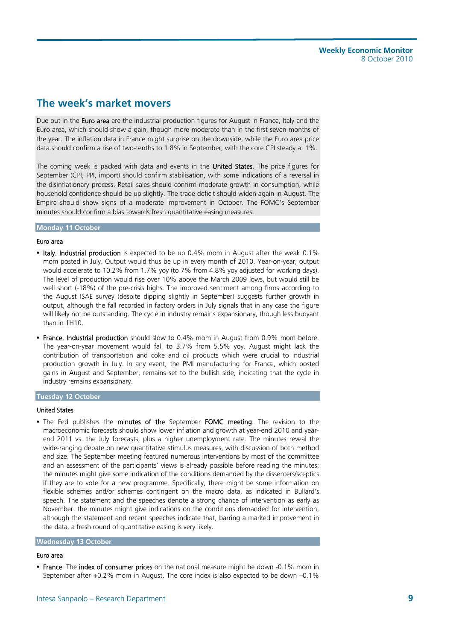## **The week's market movers**

Due out in the Euro area are the industrial production figures for August in France, Italy and the Euro area, which should show a gain, though more moderate than in the first seven months of the year. The inflation data in France might surprise on the downside, while the Euro area price data should confirm a rise of two-tenths to 1.8% in September, with the core CPI steady at 1%.

The coming week is packed with data and events in the United States. The price figures for September (CPI, PPI, import) should confirm stabilisation, with some indications of a reversal in the disinflationary process. Retail sales should confirm moderate growth in consumption, while household confidence should be up slightly. The trade deficit should widen again in August. The Empire should show signs of a moderate improvement in October. The FOMC's September minutes should confirm a bias towards fresh quantitative easing measures.

#### **Monday 11 October**

#### Euro area

- Italy. Industrial production is expected to be up 0.4% mom in August after the weak 0.1% mom posted in July. Output would thus be up in every month of 2010. Year-on-year, output would accelerate to 10.2% from 1.7% yoy (to 7% from 4.8% yoy adjusted for working days). The level of production would rise over 10% above the March 2009 lows, but would still be well short (-18%) of the pre-crisis highs. The improved sentiment among firms according to the August ISAE survey (despite dipping slightly in September) suggests further growth in output, although the fall recorded in factory orders in July signals that in any case the figure will likely not be outstanding. The cycle in industry remains expansionary, though less buoyant than in 1H10.
- **France. Industrial production** should slow to 0.4% mom in August from 0.9% mom before. The year-on-year movement would fall to 3.7% from 5.5% yoy. August might lack the contribution of transportation and coke and oil products which were crucial to industrial production growth in July. In any event, the PMI manufacturing for France, which posted gains in August and September, remains set to the bullish side, indicating that the cycle in industry remains expansionary.

#### **Tuesday 12 October**

#### United States

The Fed publishes the minutes of the September FOMC meeting. The revision to the macroeconomic forecasts should show lower inflation and growth at year-end 2010 and yearend 2011 vs. the July forecasts, plus a higher unemployment rate. The minutes reveal the wide-ranging debate on new quantitative stimulus measures, with discussion of both method and size. The September meeting featured numerous interventions by most of the committee and an assessment of the participants' views is already possible before reading the minutes; the minutes might give some indication of the conditions demanded by the dissenters/sceptics if they are to vote for a new programme. Specifically, there might be some information on flexible schemes and/or schemes contingent on the macro data, as indicated in Bullard's speech. The statement and the speeches denote a strong chance of intervention as early as November: the minutes might give indications on the conditions demanded for intervention, although the statement and recent speeches indicate that, barring a marked improvement in the data, a fresh round of quantitative easing is very likely.

#### **Wednesday 13 October**

#### Euro area

**France**. The index of consumer prices on the national measure might be down -0.1% mom in September after +0.2% mom in August. The core index is also expected to be down –0.1%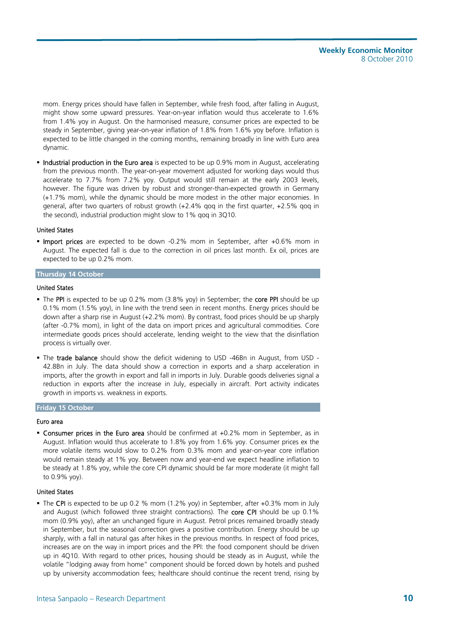mom. Energy prices should have fallen in September, while fresh food, after falling in August, might show some upward pressures. Year-on-year inflation would thus accelerate to 1.6% from 1.4% yoy in August. On the harmonised measure, consumer prices are expected to be steady in September, giving year-on-year inflation of 1.8% from 1.6% yoy before. Inflation is expected to be little changed in the coming months, remaining broadly in line with Euro area dynamic.

 Industrial production in the Euro area is expected to be up 0.9% mom in August, accelerating from the previous month. The year-on-year movement adjusted for working days would thus accelerate to 7.7% from 7.2% yoy. Output would still remain at the early 2003 levels, however. The figure was driven by robust and stronger-than-expected growth in Germany (+1.7% mom), while the dynamic should be more modest in the other major economies. In general, after two quarters of robust growth (+2.4% qoq in the first quarter, +2.5% qoq in the second), industrial production might slow to 1% qoq in 3Q10.

#### United States

**Import prices** are expected to be down -0.2% mom in September, after +0.6% mom in August. The expected fall is due to the correction in oil prices last month. Ex oil, prices are expected to be up 0.2% mom.

#### **Thursday 14 October**

#### United States

- The PPI is expected to be up 0.2% mom (3.8% yoy) in September; the core PPI should be up 0.1% mom (1.5% yoy), in line with the trend seen in recent months. Energy prices should be down after a sharp rise in August (+2.2% mom). By contrast, food prices should be up sharply (after -0.7% mom), in light of the data on import prices and agricultural commodities. Core intermediate goods prices should accelerate, lending weight to the view that the disinflation process is virtually over.
- The trade balance should show the deficit widening to USD -46Bn in August, from USD 42.8Bn in July. The data should show a correction in exports and a sharp acceleration in imports, after the growth in export and fall in imports in July. Durable goods deliveries signal a reduction in exports after the increase in July, especially in aircraft. Port activity indicates growth in imports vs. weakness in exports.

#### **Friday 15 October**

#### Euro area

**Consumer prices in the Euro area** should be confirmed at  $+0.2\%$  mom in September, as in August. Inflation would thus accelerate to 1.8% yoy from 1.6% yoy. Consumer prices ex the more volatile items would slow to 0.2% from 0.3% mom and year-on-year core inflation would remain steady at 1% yoy. Between now and year-end we expect headline inflation to be steady at 1.8% yoy, while the core CPI dynamic should be far more moderate (it might fall to 0.9% yoy).

#### United States

The CPI is expected to be up 0.2 % mom (1.2% yoy) in September, after +0.3% mom in July and August (which followed three straight contractions). The core CPI should be up 0.1% mom (0.9% yoy), after an unchanged figure in August. Petrol prices remained broadly steady in September, but the seasonal correction gives a positive contribution. Energy should be up sharply, with a fall in natural gas after hikes in the previous months. In respect of food prices, increases are on the way in import prices and the PPI: the food component should be driven up in 4Q10. With regard to other prices, housing should be steady as in August, while the volatile "lodging away from home" component should be forced down by hotels and pushed up by university accommodation fees; healthcare should continue the recent trend, rising by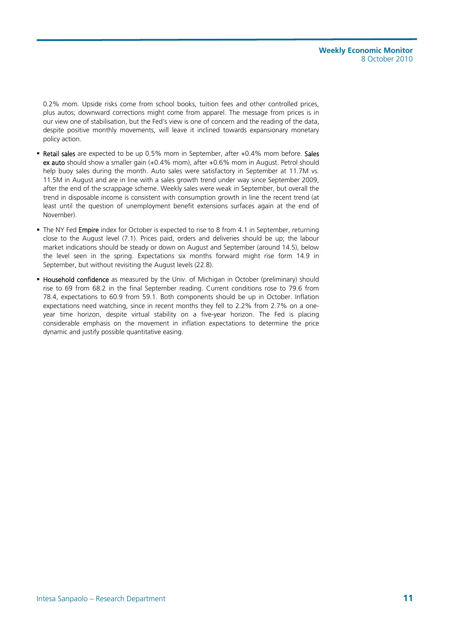0.2% mom. Upside risks come from school books, tuition fees and other controlled prices, plus autos; downward corrections might come from apparel. The message from prices is in our view one of stabilisation, but the Fed's view is one of concern and the reading of the data, despite positive monthly movements, will leave it inclined towards expansionary monetary policy action.

- **Retail sales** are expected to be up 0.5% mom in September, after +0.4% mom before. Sales ex auto should show a smaller gain (+0.4% mom), after +0.6% mom in August. Petrol should help buoy sales during the month. Auto sales were satisfactory in September at 11.7M vs. 11.5M in August and are in line with a sales growth trend under way since September 2009, after the end of the scrappage scheme. Weekly sales were weak in September, but overall the trend in disposable income is consistent with consumption growth in line the recent trend (at least until the question of unemployment benefit extensions surfaces again at the end of November).
- The NY Fed Empire index for October is expected to rise to 8 from 4.1 in September, returning close to the August level (7.1). Prices paid, orders and deliveries should be up; the labour market indications should be steady or down on August and September (around 14.5), below the level seen in the spring. Expectations six months forward might rise form 14.9 in September, but without revisiting the August levels (22.8).
- **Household confidence** as measured by the Univ. of Michigan in October (preliminary) should rise to 69 from 68.2 in the final September reading. Current conditions rose to 79.6 from 78.4, expectations to 60.9 from 59.1. Both components should be up in October. Inflation expectations need watching, since in recent months they fell to 2.2% from 2.7% on a oneyear time horizon, despite virtual stability on a five-year horizon. The Fed is placing considerable emphasis on the movement in inflation expectations to determine the price dynamic and justify possible quantitative easing.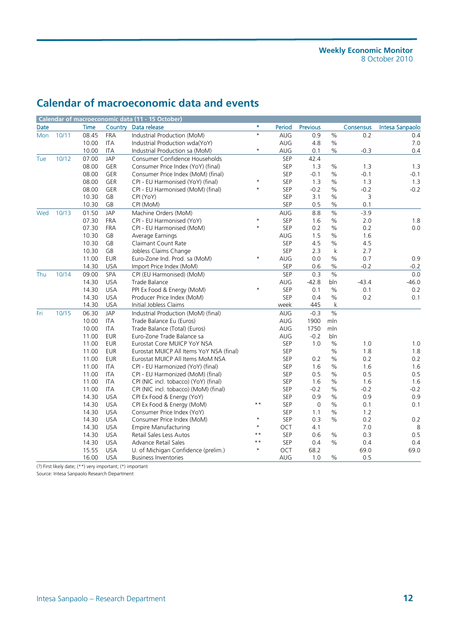## **Calendar of macroeconomic data and events**

|            |       |             |                        | Calendar of macroeconomic data (11 - 15 October) |                 |            |                     |               |           |                 |
|------------|-------|-------------|------------------------|--------------------------------------------------|-----------------|------------|---------------------|---------------|-----------|-----------------|
| Date       |       | <b>Time</b> |                        | Country Data release                             | $\star$         | Period     | <b>Previous</b>     |               | Consensus | Intesa Sanpaolo |
| <b>Mon</b> | 10/11 | 08.45       | <b>FRA</b>             | Industrial Production (MoM)                      | $\star$         | <b>AUG</b> | 0.9                 | $\%$          | 0.2       | 0.4             |
|            |       | 10.00       | <b>ITA</b>             | Industrial Production wda(YoY)                   |                 | AUG        | 4.8                 | $\%$          |           | 7.0             |
|            |       | 10.00       | ITA                    | Industrial Production sa (MoM)                   | $^\star$        | <b>AUG</b> | 0.1                 | $\%$          | $-0.3$    | 0.4             |
| Tue        | 10/12 | 07.00       | <b>JAP</b>             | Consumer Confidence Households                   |                 | SEP        | 42.4                |               |           |                 |
|            |       | 08.00       | GER                    | Consumer Price Index (YoY) (final)               |                 | <b>SEP</b> | 1.3                 | $\%$          | 1.3       | 1.3             |
|            |       | 08.00       | GER                    | Consumer Price Index (MoM) (final)               |                 | <b>SEP</b> | $-0.1$              | $\%$          | $-0.1$    | $-0.1$          |
|            |       | 08.00       | <b>GER</b>             | CPI - EU Harmonised (YoY) (final)                | $\star$         | <b>SEP</b> | 1.3                 | %             | 1.3       | 1.3             |
|            |       | 08.00       | GER                    | CPI - EU Harmonised (MoM) (final)                | $\star$         | SEP        | $-0.2$              | $\%$          | $-0.2$    | $-0.2$          |
|            |       | 10.30       | GB                     | CPI (YoY)                                        |                 | <b>SEP</b> | 3.1                 | $\%$          | 3         |                 |
|            |       | 10.30       | $\mathsf{G}\mathsf{B}$ | CPI (MoM)                                        |                 | SEP        | 0.5                 | $\%$          | 0.1       |                 |
| Wed        | 10/13 | 01.50       | <b>JAP</b>             | Machine Orders (MoM)                             |                 | AUG        | 8.8                 | $\%$          | $-3.9$    |                 |
|            |       | 07.30       | <b>FRA</b>             | CPI - EU Harmonised (YoY)                        | $\star$         | SEP        | 1.6                 | $\%$          | 2.0       | 1.8             |
|            |       | 07.30       | <b>FRA</b>             | CPI - EU Harmonised (MoM)                        | $\star$         | <b>SEP</b> | 0.2                 | $\frac{0}{0}$ | 0.2       | 0.0             |
|            |       | 10.30       | GB                     | Average Earnings                                 |                 | <b>AUG</b> | 1.5                 | $\%$          | 1.6       |                 |
|            |       | 10.30       | GB                     | Claimant Count Rate                              |                 | <b>SEP</b> | 4.5                 | $\frac{0}{0}$ | 4.5       |                 |
|            |       | 10.30       | GB                     | Jobless Claims Change                            |                 | SEP        | 2.3                 | $\mathsf k$   | 2.7       |                 |
|            |       | 11.00       | <b>EUR</b>             | Euro-Zone Ind. Prod. sa (MoM)                    | $\star$         | AUG        | 0.0                 | $\%$          | 0.7       | 0.9             |
|            |       | 14.30       | <b>USA</b>             | Import Price Index (MoM)                         |                 | SEP        | 0.6                 | $\%$          | $-0.2$    | $-0.2$          |
| Thu        | 10/14 | 09.00       | SPA                    | CPI (EU Harmonised) (MoM)                        |                 | <b>SEP</b> | 0.3                 | $\%$          |           | 0.0             |
|            |       | 14.30       | <b>USA</b>             | Trade Balance                                    |                 | AUG        | $-42.8$             | bln           | $-43.4$   | $-46.0$         |
|            |       | 14.30       | <b>USA</b>             | PPI Ex Food & Energy (MoM)                       | $\star$         | <b>SEP</b> | 0.1                 | $\frac{0}{0}$ | 0.1       | 0.2             |
|            |       | 14.30       | <b>USA</b>             | Producer Price Index (MoM)                       |                 | SEP        | 0.4                 | $\%$          | 0.2       | 0.1             |
|            |       | 14.30       | <b>USA</b>             | Initial Jobless Claims                           |                 | week       | 445                 | k             |           |                 |
| Fri        | 10/15 | 06.30       | <b>JAP</b>             | Industrial Production (MoM) (final)              |                 | AUG        | $-0.3$              | $\frac{9}{6}$ |           |                 |
|            |       | 10.00       | <b>ITA</b>             | Trade Balance Eu (Euros)                         |                 | AUG        | 1900                | mln           |           |                 |
|            |       | 10.00       | <b>ITA</b>             | Trade Balance (Total) (Euros)                    |                 | AUG        | 1750                | mln           |           |                 |
|            |       | 11.00       | <b>EUR</b>             | Euro-Zone Trade Balance sa                       |                 | AUG        | $-0.2$              | bln           |           |                 |
|            |       | 11.00       | <b>EUR</b>             | Eurostat Core MUICP YoY NSA                      |                 | SEP        | 1.0                 | $\%$          | 1.0       | 1.0             |
|            |       | 11.00       | <b>EUR</b>             | Eurostat MUICP All Items YoY NSA (final)         |                 | <b>SEP</b> |                     | $\%$          | 1.8       | 1.8             |
|            |       | 11.00       | <b>EUR</b>             | Eurostat MUICP All Items MoM NSA                 |                 | SEP        | 0.2                 | $\%$          | 0.2       | 0.2             |
|            |       | 11.00       | <b>ITA</b>             | CPI - EU Harmonized (YoY) (final)                |                 | <b>SEP</b> | 1.6                 | $\frac{0}{0}$ | 1.6       | 1.6             |
|            |       | 11.00       | <b>ITA</b>             | CPI - EU Harmonized (MoM) (final)                |                 | SEP        | 0.5                 | $\%$          | 0.5       | 0.5             |
|            |       | 11.00       | <b>ITA</b>             | CPI (NIC incl. tobacco) (YoY) (final)            |                 | <b>SEP</b> | 1.6                 | %             | 1.6       | 1.6             |
|            |       | 11.00       | ITA                    | CPI (NIC incl. tobacco) (MoM) (final)            |                 | SEP        | $-0.2$              | $\%$          | $-0.2$    | $-0.2$          |
|            |       | 14.30       | <b>USA</b>             | CPI Ex Food & Energy (YoY)                       |                 | <b>SEP</b> | 0.9                 | $\%$          | 0.9       | 0.9             |
|            |       | 14.30       | <b>USA</b>             | CPI Ex Food & Energy (MoM)                       | $\star\star$    | SEP        | $\mathsf{O}\xspace$ | $\%$          | 0.1       | 0.1             |
|            |       | 14.30       | <b>USA</b>             | Consumer Price Index (YoY)                       |                 | <b>SEP</b> | 1.1                 | $\frac{0}{0}$ | 1.2       |                 |
|            |       | 14.30       | <b>USA</b>             | Consumer Price Index (MoM)                       | $\star$         | SEP        | 0.3                 | $\%$          | 0.2       | 0.2             |
|            |       | 14.30       | <b>USA</b>             | <b>Empire Manufacturing</b>                      | $\star$         | OCT        | 4.1                 |               | 7.0       | 8               |
|            |       | 14.30       | <b>USA</b>             | Retail Sales Less Autos                          | $\star$ $\star$ | SEP        | 0.6                 | $\%$          | 0.3       | 0.5             |
|            |       | 14.30       | <b>USA</b>             | Advance Retail Sales                             | $\star\star$    | <b>SEP</b> | 0.4                 | %             | 0.4       | 0.4             |
|            |       | 15.55       | <b>USA</b>             | U. of Michigan Confidence (prelim.)              | $\star$         | OCT        | 68.2                |               | 69.0      | 69.0            |
|            |       | 16.00       | <b>USA</b>             | <b>Business Inventories</b>                      |                 | AUG        | 1.0                 | %             | 0.5       |                 |

(?) First likely date; (\*\*) very important; (\*) important

Source: Intesa Sanpaolo Research Department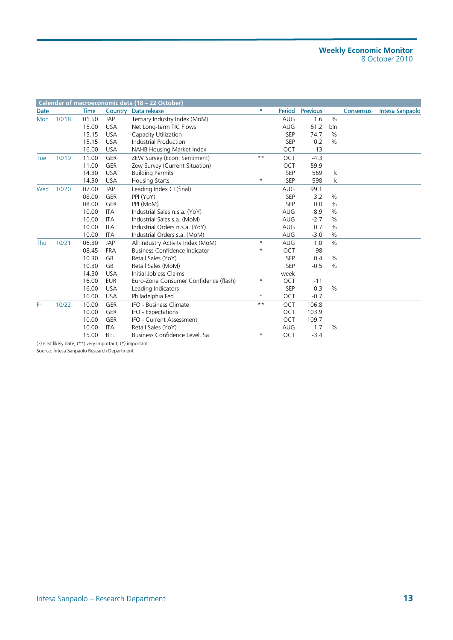#### **Weekly Economic Monitor**  8 October 2010

|      |       |       |                                                           | Calendar of macroeconomic data (18 - 22 October) |              |            |                 |               |                  |                 |
|------|-------|-------|-----------------------------------------------------------|--------------------------------------------------|--------------|------------|-----------------|---------------|------------------|-----------------|
| Date |       | Time  | Country                                                   | Data release                                     | $\star$      | Period     | <b>Previous</b> |               | <b>Consensus</b> | Intesa Sanpaolo |
| Mon  | 10/18 | 01.50 | JAP                                                       | Tertiary Industry Index (MoM)                    |              | <b>AUG</b> | 1.6             | $\frac{0}{0}$ |                  |                 |
|      |       | 15.00 | <b>USA</b>                                                | Net Long-term TIC Flows                          |              | <b>AUG</b> | 61.2            | bln           |                  |                 |
|      |       | 15.15 | <b>USA</b>                                                | Capacity Utilization                             |              | <b>SEP</b> | 74.7            | $\%$          |                  |                 |
|      |       | 15.15 | <b>USA</b>                                                | Industrial Production                            |              | <b>SEP</b> | 0.2             | $\%$          |                  |                 |
|      |       | 16.00 | <b>USA</b>                                                | NAHB Housing Market Index                        |              | <b>OCT</b> | 13              |               |                  |                 |
| Tue  | 10/19 | 11.00 | <b>GER</b>                                                | ZEW Survey (Econ. Sentiment)                     | $***$        | <b>OCT</b> | $-4.3$          |               |                  |                 |
|      |       | 11.00 | GER                                                       | Zew Survey (Current Situation)                   |              | <b>OCT</b> | 59.9            |               |                  |                 |
|      |       | 14.30 | <b>USA</b>                                                | <b>Building Permits</b>                          |              | <b>SEP</b> | 569             | k             |                  |                 |
|      |       | 14.30 | <b>USA</b>                                                | <b>Housing Starts</b>                            | $\star$      | <b>SEP</b> | 598             | k             |                  |                 |
| Wed  | 10/20 | 07.00 | JAP                                                       | Leading Index CI (final)                         |              | AUG        | 99.1            |               |                  |                 |
|      |       | 08.00 | <b>GER</b>                                                | PPI (YoY)                                        |              | <b>SEP</b> | 3.2             | $\%$          |                  |                 |
|      |       | 08.00 | <b>GER</b>                                                | PPI (MoM)                                        |              | <b>SEP</b> | 0.0             | $\frac{0}{0}$ |                  |                 |
|      |       | 10.00 | <b>ITA</b>                                                | Industrial Sales n.s.a. (YoY)                    |              | <b>AUG</b> | 8.9             | $\frac{0}{0}$ |                  |                 |
|      |       | 10.00 | <b>ITA</b>                                                | Industrial Sales s.a. (MoM)                      |              | <b>AUG</b> | $-2.7$          | $\frac{0}{0}$ |                  |                 |
|      |       | 10.00 | <b>ITA</b>                                                | Industrial Orders n.s.a. (YoY)                   |              | <b>AUG</b> | 0.7             | $\%$          |                  |                 |
|      |       | 10.00 | <b>ITA</b>                                                | Industrial Orders s.a. (MoM)                     |              | <b>AUG</b> | $-3.0$          | $\%$          |                  |                 |
| Thu  | 10/21 | 06.30 | JAP                                                       | All Industry Activity Index (MoM)                | $^\star$     | <b>AUG</b> | 1.0             | $\%$          |                  |                 |
|      |       | 08.45 | <b>FRA</b>                                                | <b>Business Confidence Indicator</b>             | $^\star$     | OCT        | 98              |               |                  |                 |
|      |       | 10.30 | GB                                                        | Retail Sales (YoY)                               |              | <b>SEP</b> | 0.4             | $\%$          |                  |                 |
|      |       | 10.30 | GB                                                        | Retail Sales (MoM)                               |              | <b>SEP</b> | $-0.5$          | $\%$          |                  |                 |
|      |       | 14.30 | <b>USA</b>                                                | Initial Jobless Claims                           |              | week       |                 |               |                  |                 |
|      |       | 16.00 | <b>EUR</b>                                                | Euro-Zone Consumer Confidence (flash)            | $\star$      | <b>OCT</b> | $-11$           |               |                  |                 |
|      |       | 16.00 | <b>USA</b>                                                | Leading Indicators                               |              | <b>SEP</b> | 0.3             | $\%$          |                  |                 |
|      |       | 16.00 | <b>USA</b>                                                | Philadelphia Fed.                                | $\star$      | OCT        | $-0.7$          |               |                  |                 |
| Fri  | 10/22 | 10.00 | <b>GER</b>                                                | <b>IFO - Business Climate</b>                    | $\star\star$ | <b>OCT</b> | 106.8           |               |                  |                 |
|      |       | 10.00 | <b>GER</b>                                                | IFO - Expectations                               |              | <b>OCT</b> | 103.9           |               |                  |                 |
|      |       | 10.00 | <b>GER</b>                                                | IFO - Current Assessment                         |              | <b>OCT</b> | 109.7           |               |                  |                 |
|      |       | 10.00 | ITA                                                       | Retail Sales (YoY)                               |              | AUG        | 1.7             | $\%$          |                  |                 |
|      |       | 15.00 | <b>BEL</b>                                                | Business Confidence Level. Sa                    | $^\star$     | OCT        | $-3.4$          |               |                  |                 |
|      |       |       | (?) First likely date; (**) very important; (*) important |                                                  |              |            |                 |               |                  |                 |

Source: Intesa Sanpaolo Research Department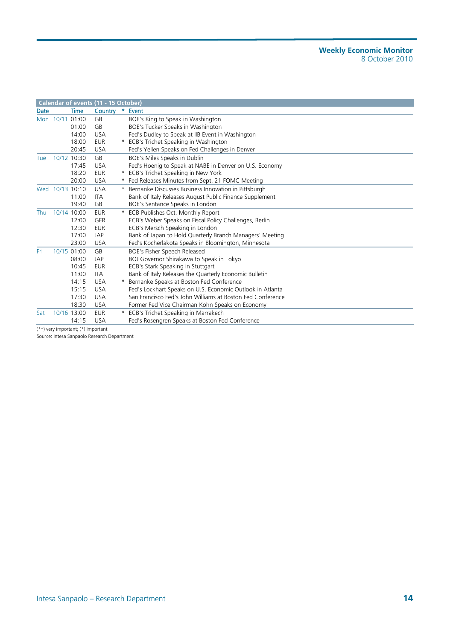|             |                 |             | Calendar of events (11 - 15 October) |    |                                                            |
|-------------|-----------------|-------------|--------------------------------------|----|------------------------------------------------------------|
| <b>Date</b> |                 | <b>Time</b> | Country                              | *. | Event                                                      |
|             | Mon 10/11 01:00 |             | GB                                   |    | BOE's King to Speak in Washington                          |
|             |                 | 01:00       | GB                                   |    | BOE's Tucker Speaks in Washington                          |
|             |                 | 14:00       | <b>USA</b>                           |    | Fed's Dudley to Speak at IIB Event in Washington           |
|             |                 | 18:00       | <b>EUR</b>                           |    | * ECB's Trichet Speaking in Washington                     |
|             |                 | 20:45       | <b>USA</b>                           |    | Fed's Yellen Speaks on Fed Challenges in Denver            |
| Tue         | 10/12 10:30     |             | GB                                   |    | BOE's Miles Speaks in Dublin                               |
|             |                 | 17:45       | <b>USA</b>                           |    | Fed's Hoenig to Speak at NABE in Denver on U.S. Economy    |
|             |                 | 18:20       | <b>EUR</b>                           |    | * ECB's Trichet Speaking in New York                       |
|             |                 | 20:00       | <b>USA</b>                           |    | * Fed Releases Minutes from Sept. 21 FOMC Meeting          |
|             | Wed 10/13 10:10 |             | <b>USA</b>                           |    | * Bernanke Discusses Business Innovation in Pittsburgh     |
|             |                 | 11:00       | <b>ITA</b>                           |    | Bank of Italy Releases August Public Finance Supplement    |
|             |                 | 19:40       | GB                                   |    | BOE's Sentance Speaks in London                            |
| Thu         | 10/14 10:00     |             | <b>EUR</b>                           |    | ECB Publishes Oct. Monthly Report                          |
|             |                 | 12:00       | <b>GER</b>                           |    | ECB's Weber Speaks on Fiscal Policy Challenges, Berlin     |
|             |                 | 12:30       | <b>EUR</b>                           |    | ECB's Mersch Speaking in London                            |
|             |                 | 17:00       | JAP                                  |    | Bank of Japan to Hold Quarterly Branch Managers' Meeting   |
|             |                 | 23:00       | <b>USA</b>                           |    | Fed's Kocherlakota Speaks in Bloomington, Minnesota        |
| Fri         |                 | 10/15 01:00 | GB                                   |    | BOE's Fisher Speech Released                               |
|             |                 | 08:00       | <b>JAP</b>                           |    | BOJ Governor Shirakawa to Speak in Tokyo                   |
|             |                 | 10:45       | <b>EUR</b>                           |    | ECB's Stark Speaking in Stuttgart                          |
|             |                 | 11:00       | <b>ITA</b>                           |    | Bank of Italy Releases the Quarterly Economic Bulletin     |
|             |                 | 14:15       | <b>USA</b>                           |    | * Bernanke Speaks at Boston Fed Conference                 |
|             |                 | 15:15       | <b>USA</b>                           |    | Fed's Lockhart Speaks on U.S. Economic Outlook in Atlanta  |
|             |                 | 17:30       | <b>USA</b>                           |    | San Francisco Fed's John Williams at Boston Fed Conference |
|             |                 | 18:30       | <b>USA</b>                           |    | Former Fed Vice Chairman Kohn Speaks on Economy            |
| Sat         |                 | 10/16 13:00 | <b>EUR</b>                           |    | * ECB's Trichet Speaking in Marrakech                      |
|             |                 | 14:15       | <b>USA</b>                           |    | Fed's Rosengren Speaks at Boston Fed Conference            |
|             |                 | 4.1.3       |                                      |    |                                                            |

(\*\*) very important; (\*) important

Source: Intesa Sanpaolo Research Department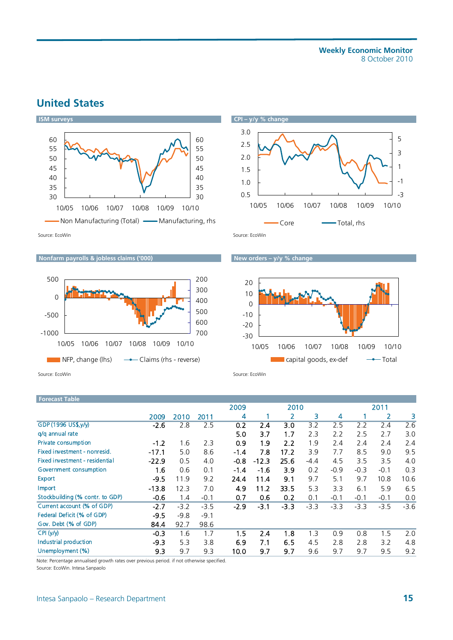## **United States**



10/05 10/06 10/07 10/08 10/09 10/10



#### **Nonfarm payrolls & jobless claims ('000)** New orders – y/y % change



 $\Box$  NFP, change (lhs)  $\rightarrow$  Claims (rhs - reverse)

-1000

-500

0

500

Source: EcoWin Source: EcoWin Source: EcoWin Source: EcoWin Source: EcoWin

| Forecast Table                  |         |        |        |        |         |        |        |        |        |        |        |
|---------------------------------|---------|--------|--------|--------|---------|--------|--------|--------|--------|--------|--------|
|                                 |         |        |        | 2009   |         | 2010   |        |        |        | 2011   |        |
|                                 | 2009    | 2010   | 2011   | 4      |         | 2      | 3      | 4      |        | 2      | з      |
| GDP (1996 US\$, y/y)            | $-2.6$  | 2.8    | 2.5    | 0.2    | 2.4     | 3.0    | 3.2    | 2.5    | 2.2    | 2.4    | 2.6    |
| g/g annual rate                 |         |        |        | 5.0    | 3.7     | 1.7    | 2.3    | 2.2    | 2.5    | 2.7    | 3.0    |
| Private consumption             | $-1.2$  | 1.6    | 2.3    | 0.9    | 1.9     | 2.2    | 1.9    | 2.4    | 2.4    | 2.4    | 2.4    |
| Fixed investment - nonresid.    | $-17.1$ | 5.0    | 8.6    | $-1.4$ | 7.8     | 17.2   | 3.9    | 7.7    | 8.5    | 9.0    | 9.5    |
| Fixed investment - residential  | $-22.9$ | 0.5    | 4.0    | $-0.8$ | $-12.3$ | 25.6   | $-4.4$ | 4.5    | 3.5    | 3.5    | 4.0    |
| Government consumption          | 16      | 0.6    | 0.1    | $-1.4$ | $-1.6$  | 3.9    | 0.2    | $-0.9$ | $-0.3$ | $-0.1$ | 0.3    |
| <b>Export</b>                   | $-9.5$  | 11.9   | 9.2    | 24.4   | 11.4    | 9.1    | 9.7    | 5.1    | 9.7    | 10.8   | 10.6   |
| Import                          | $-13.8$ | 12.3   | 7.0    | 4.9    | 11.2    | 33.5   | 5.3    | 3.3    | 6.1    | 5.9    | 6.5    |
| Stockbuilding (% contr. to GDP) | $-0.6$  | 1.4    | $-0.1$ | 0.7    | 0.6     | 0.2    | 0.1    | $-0.1$ | $-0.1$ | $-0.1$ | 0.0    |
| Current account (% of GDP)      | $-2.7$  | $-3.2$ | $-3.5$ | $-2.9$ | $-3.1$  | $-3.3$ | $-3.3$ | $-3.3$ | $-3.3$ | $-3.5$ | $-3.6$ |
| Federal Deficit (% of GDP)      | $-9.5$  | $-9.8$ | $-9.1$ |        |         |        |        |        |        |        |        |
| Gov. Debt (% of GDP)            | 84.4    | 92.7   | 98.6   |        |         |        |        |        |        |        |        |
| CPI(y/y)                        | $-0.3$  | 1.6    | 1.7    | 1.5    | 2.4     | 1.8    | 1.3    | 0.9    | 0.8    | 1.5    | 2.0    |
| Industrial production           | $-9.3$  | 5.3    | 3.8    | 6.9    | 7.1     | 6.5    | 4.5    | 2.8    | 2.8    | 3.2    | 4.8    |
| Unemployment (%)                | 9.3     | 9.7    | 9.3    | 10.0   | 9.7     | 9.7    | 9.6    | 9.7    | 9.7    | 9.5    | 9.2    |

Note: Percentage annualised growth rates over previous period. if not otherwise specified.

Source: EcoWin. Intesa Sanpaolo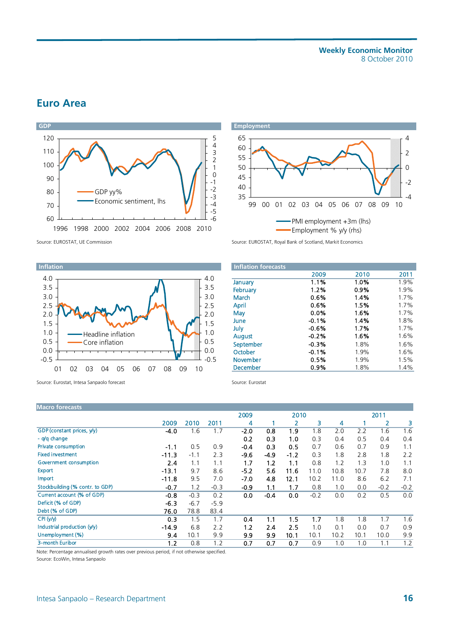**Weekly Economic Monitor**  8 October 2010

## **Euro Area**





Source: EUROSTAT, UE Commission Source: EUROSTAT, Royal Bank of Scotland, Markit Economics



Source: Eurostat, Intesa Sanpaolo forecast Source: Eurostat Source: Eurostat

| <b>Inflation forecasts</b> |         |      |      |
|----------------------------|---------|------|------|
|                            | 2009    | 2010 | 2011 |
| January                    | 1.1%    | 1.0% | 1.9% |
| February                   | 1.2%    | 0.9% | 1.9% |
| March                      | 0.6%    | 1.4% | 1.7% |
| April                      | 0.6%    | 1.5% | 1.7% |
| May                        | 0.0%    | 1.6% | 1.7% |
| June                       | $-0.1%$ | 1.4% | 1.8% |
| July                       | $-0.6%$ | 1.7% | 1.7% |
| <b>August</b>              | $-0.2%$ | 1.6% | 1.6% |
| September                  | $-0.3%$ | 1.8% | 1.6% |
| October                    | $-0.1%$ | 1.9% | 1.6% |
| <b>November</b>            | 0.5%    | 1.9% | 1.5% |
| <b>December</b>            | 0.9%    | 1.8% | 1.4% |

| <b>Macro forecasts</b>          |         |        |        |        |        |        |        |      |      |        |        |
|---------------------------------|---------|--------|--------|--------|--------|--------|--------|------|------|--------|--------|
|                                 |         |        |        | 2009   |        | 2010   |        |      |      | 2011   |        |
|                                 | 2009    | 2010   | 2011   | 4      |        |        | 3      | 4    |      | 2      | 3      |
| GDP (constant prices, y/y)      | $-4.0$  | 1.6    | 1.7    | $-2.0$ | 0.8    | 1.9    | 1.8    | 2.0  | 2.2  | 1.6    | 1.6    |
| - g/g change                    |         |        |        | 0.2    | 0.3    | 1.0    | 0.3    | 0.4  | 0.5  | 0.4    | 0.4    |
| Private consumption             | $-1.1$  | 0.5    | 0.9    | $-0.4$ | 0.3    | 0.5    | 0.7    | 0.6  | 0.7  | 0.9    | 1.1    |
| <b>Fixed investment</b>         | $-11.3$ | $-1.1$ | 2.3    | $-9.6$ | $-4.9$ | $-1.2$ | 0.3    | 1.8  | 2.8  | 1.8    | 2.2    |
| Government consumption          | 2.4     | 1.1    | 1.1    | 1.7    | 1.2    | 1.1    | 0.8    | 1.2  | 1.3  | 1.0    | 1.1    |
| <b>Export</b>                   | $-13.1$ | 9.7    | 8.6    | $-5.2$ | 5.6    | 11.6   | 11.0   | 10.8 | 10.7 | 7.8    | 8.0    |
| Import                          | $-11.8$ | 9.5    | 7.0    | $-7.0$ | 4.8    | 12.1   | 10.2   | 11.0 | 8.6  | 6.2    | 7.1    |
| Stockbuilding (% contr. to GDP) | $-0.7$  | 1.2    | $-0.3$ | $-0.9$ | 1.1    | 1.7    | 0.8    | 1.0  | 0.0  | $-0.2$ | $-0.2$ |
| Current account (% of GDP)      | $-0.8$  | $-0.3$ | 0.2    | 0.0    | $-0.4$ | 0.0    | $-0.2$ | 0.0  | 0.2  | 0.5    | 0.0    |
| Deficit (% of GDP)              | $-6.3$  | $-6.7$ | $-5.9$ |        |        |        |        |      |      |        |        |
| Debt (% of GDP)                 | 76.0    | 78.8   | 83.4   |        |        |        |        |      |      |        |        |
| CPI (V/V)                       | 0.3     | 1.5    | 1.7    | 0.4    | 1.1    | 1.5    | 1.7    | 1.8  | 1.8  | 1.7    | 1.6    |
| Industrial production (y/y)     | $-14.9$ | 6.8    | 2.2    | 1.2    | 2.4    | 2.5    | 1.0    | 0.1  | 0.0  | 0.7    | 0.9    |
| Unemployment (%)                | 9.4     | 10.1   | 9.9    | 9.9    | 9.9    | 10.1   | 10.1   | 10.2 | 10.1 | 10.0   | 9.9    |
| 3-month Euribor                 | 1.2     | 0.8    | 1.2    | 0.7    | 0.7    | 0.7    | 0.9    | 1.0  | 1.0  | 1.1    | 1.2    |
|                                 |         |        |        |        |        |        |        |      |      |        |        |

Note: Percentage annualised growth rates over previous period, if not otherwise specified. Source: EcoWin, Intesa Sanpaolo

Intesa Sanpaolo – Research Department **16**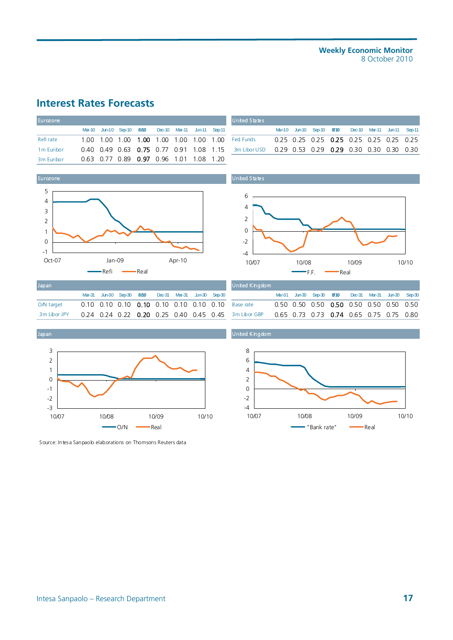#### **Weekly Economic Monitor**  8 October 2010

## **Interest Rates Forecasts**

| Eurozone               |  |  |  |                                                       | <b>United States</b>                                                                         |  |  |                                                       |  |  |
|------------------------|--|--|--|-------------------------------------------------------|----------------------------------------------------------------------------------------------|--|--|-------------------------------------------------------|--|--|
|                        |  |  |  | Mar-10 Jun-10 Sep-10 8/10 Dec-10 Mar-11 Jun-11 Sep-11 |                                                                                              |  |  | Mar-10 Jun-10 Sep-10 8/10 Dec-10 Mar-11 Jun-11 Sep-11 |  |  |
| Refi rate              |  |  |  |                                                       |                                                                                              |  |  | 0.25 0.25 0.25 0.25 0.25 0.25 0.25 0.25               |  |  |
| 1 <sub>m</sub> Euribor |  |  |  |                                                       | 0.40 0.49 0.63 0.75 0.77 0.91 1.08 1.15 3m Libor USD 0.29 0.53 0.29 0.29 0.30 0.30 0.30 0.30 |  |  |                                                       |  |  |
| 3 <sub>m</sub> Euribor |  |  |  | 0.63 0.77 0.89 0.97 0.96 1.01 1.08 1.20               |                                                                                              |  |  |                                                       |  |  |



| Japan        |  |                                                       |  |  |
|--------------|--|-------------------------------------------------------|--|--|
|              |  | Mar-31 Jun-30 Sep-30 8/10 Dec-31 Mar-31 Jun-30 Sep-30 |  |  |
| O/N target   |  |                                                       |  |  |
| 3m Libor JPY |  | 0.24 0.24 0.22 0.20 0.25 0.40 0.45 0.45               |  |  |



Source: Intesa Sanpaolo elaborations on Thomsons Reuters data

|  |  |                                                       |  | United States                                                                                                |  |  |                                                       |  |  |
|--|--|-------------------------------------------------------|--|--------------------------------------------------------------------------------------------------------------|--|--|-------------------------------------------------------|--|--|
|  |  | Mar-10 Jun-10 Sep-10 8/10 Dec-10 Mar-11 Jun-11 Sep-11 |  |                                                                                                              |  |  | Mar-10 Jun-10 Sep-10 8/10 Dec-10 Mar-11 Jun-11 Sep-11 |  |  |
|  |  |                                                       |  | 1.00 1.00 1.00 <b>1.00</b> 1.00 1.00 1.00 1.00 Fed Funds   0.25 0.25 0. <b>25 0.2</b> 5 0.25 0.25 0.25       |  |  |                                                       |  |  |
|  |  |                                                       |  | 0.40 0.49 0.63 <b>0.75</b> 0.77 0.91 1.08 1.15  3m Libor USD  0.29 0.53 0.29 <b>0.29</b> 0.30 0.30 0.30 0.30 |  |  |                                                       |  |  |
|  |  |                                                       |  |                                                                                                              |  |  |                                                       |  |  |

United States



| Japan        |  |                                                       |  |  | United Kingdom                                       |  |                                                       |  |  |
|--------------|--|-------------------------------------------------------|--|--|------------------------------------------------------|--|-------------------------------------------------------|--|--|
|              |  | Mar-31 Jun-30 Sep-30 8/10 Dec-31 Mar-31 Jun-30 Sep-30 |  |  |                                                      |  | Mar-31 Jun-30 Sep-30 8/10 Dec-31 Mar-31 Jun-30 Sep-30 |  |  |
| O/N target   |  |                                                       |  |  |                                                      |  |                                                       |  |  |
| 3m Libor JPY |  |                                                       |  |  | 0.24 0.24 0.22 0.20 0.25 0.40 0.45 0.45 3m Libor GBP |  | 0.65 0.73 0.73 0.74 0.65 0.75 0.75 0.80               |  |  |



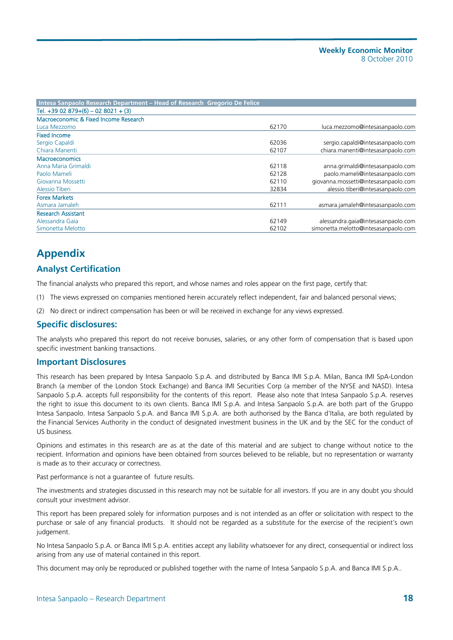| Intesa Sanpaolo Research Department – Head of Research Gregorio De Felice |       |                                      |
|---------------------------------------------------------------------------|-------|--------------------------------------|
| Tel. $+3902879+(6) - 028021 + (3)$                                        |       |                                      |
| Macroeconomic & Fixed Income Research                                     |       |                                      |
| Luca Mezzomo                                                              | 62170 | luca.mezzomo@intesasanpaolo.com      |
| <b>Fixed Income</b>                                                       |       |                                      |
| Sergio Capaldi                                                            | 62036 | sergio.capaldi@intesasanpaolo.com    |
| Chiara Manenti                                                            | 62107 | chiara.manenti@intesasanpaolo.com    |
| <b>Macroeconomics</b>                                                     |       |                                      |
| Anna Maria Grimaldi                                                       | 62118 | anna.grimaldi@intesasanpaolo.com     |
| Paolo Mameli                                                              | 62128 | paolo.mameli@intesasanpaolo.com      |
| Giovanna Mossetti                                                         | 62110 | giovanna.mossetti@intesasanpaolo.com |
| Alessio Tiberi                                                            | 32834 | alessio.tiberi@intesasanpaolo.com    |
| <b>Forex Markets</b>                                                      |       |                                      |
| Asmara Jamaleh                                                            | 62111 | asmara.jamaleh@intesasanpaolo.com    |
| <b>Research Assistant</b>                                                 |       |                                      |
| Alessandra Gaia                                                           | 62149 | alessandra.gaia@intesasanpaolo.com   |
| Simonetta Melotto                                                         | 62102 | simonetta.melotto@intesasanpaolo.com |

## **Appendix**

### **Analyst Certification**

The financial analysts who prepared this report, and whose names and roles appear on the first page, certify that:

- (1) The views expressed on companies mentioned herein accurately reflect independent, fair and balanced personal views;
- (2) No direct or indirect compensation has been or will be received in exchange for any views expressed.

#### **Specific disclosures:**

The analysts who prepared this report do not receive bonuses, salaries, or any other form of compensation that is based upon specific investment banking transactions.

#### **Important Disclosures**

This research has been prepared by Intesa Sanpaolo S.p.A. and distributed by Banca IMI S.p.A. Milan, Banca IMI SpA-London Branch (a member of the London Stock Exchange) and Banca IMI Securities Corp (a member of the NYSE and NASD). Intesa Sanpaolo S.p.A. accepts full responsibility for the contents of this report. Please also note that Intesa Sanpaolo S.p.A. reserves the right to issue this document to its own clients. Banca IMI S.p.A. and Intesa Sanpaolo S.p.A. are both part of the Gruppo Intesa Sanpaolo. Intesa Sanpaolo S.p.A. and Banca IMI S.p.A. are both authorised by the Banca d'Italia, are both regulated by the Financial Services Authority in the conduct of designated investment business in the UK and by the SEC for the conduct of US business.

Opinions and estimates in this research are as at the date of this material and are subject to change without notice to the recipient. Information and opinions have been obtained from sources believed to be reliable, but no representation or warranty is made as to their accuracy or correctness.

Past performance is not a guarantee of future results.

The investments and strategies discussed in this research may not be suitable for all investors. If you are in any doubt you should consult your investment advisor.

This report has been prepared solely for information purposes and is not intended as an offer or solicitation with respect to the purchase or sale of any financial products. It should not be regarded as a substitute for the exercise of the recipient's own judgement.

No Intesa Sanpaolo S.p.A. or Banca IMI S.p.A. entities accept any liability whatsoever for any direct, consequential or indirect loss arising from any use of material contained in this report.

This document may only be reproduced or published together with the name of Intesa Sanpaolo S.p.A. and Banca IMI S.p.A..